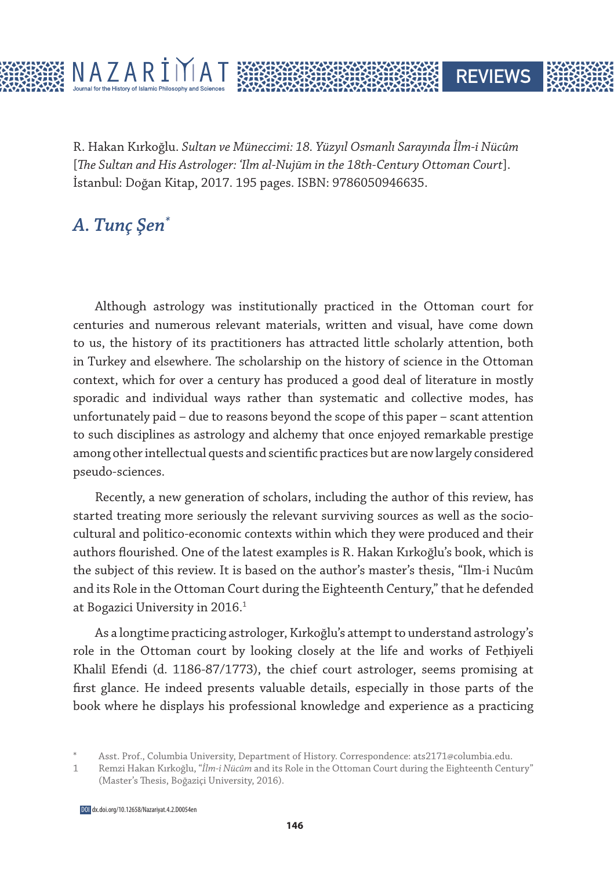R. Hakan Kırkoğlu. *Sultan ve Müneccimi: 18. Yüzyıl Osmanlı Sarayında İlm-i Nücûm*  [*The Sultan and His Astrologer: ʿIlm al-Nujūm in the 18th-Century Ottoman Court*]. İstanbul: Doğan Kitap, 2017. 195 pages. ISBN: 9786050946635.

**REVIEWS** 

## *A. Tunç Şen\**

Although astrology was institutionally practiced in the Ottoman court for centuries and numerous relevant materials, written and visual, have come down to us, the history of its practitioners has attracted little scholarly attention, both in Turkey and elsewhere. The scholarship on the history of science in the Ottoman context, which for over a century has produced a good deal of literature in mostly sporadic and individual ways rather than systematic and collective modes, has unfortunately paid – due to reasons beyond the scope of this paper – scant attention to such disciplines as astrology and alchemy that once enjoyed remarkable prestige among other intellectual quests and scientific practices but are now largely considered pseudo-sciences.

Recently, a new generation of scholars, including the author of this review, has started treating more seriously the relevant surviving sources as well as the sociocultural and politico-economic contexts within which they were produced and their authors flourished. One of the latest examples is R. Hakan Kırkoğlu's book, which is the subject of this review. It is based on the author's master's thesis, "Ilm-i Nucûm and its Role in the Ottoman Court during the Eighteenth Century," that he defended at Bogazici University in 2016.<sup>1</sup>

As a longtime practicing astrologer, Kırkoğlu's attempt to understand astrology's role in the Ottoman court by looking closely at the life and works of Fethiyeli Khalīl Efendi (d. 1186-87/1773), the chief court astrologer, seems promising at first glance. He indeed presents valuable details, especially in those parts of the book where he displays his professional knowledge and experience as a practicing

Asst. Prof., Columbia University, Department of History. Correspondence: ats2171@columbia.edu.

<sup>1</sup> Remzi Hakan Kırkoğlu, "*İlm-i Nücûm* and its Role in the Ottoman Court during the Eighteenth Century" (Master's Thesis, Boğaziçi University, 2016).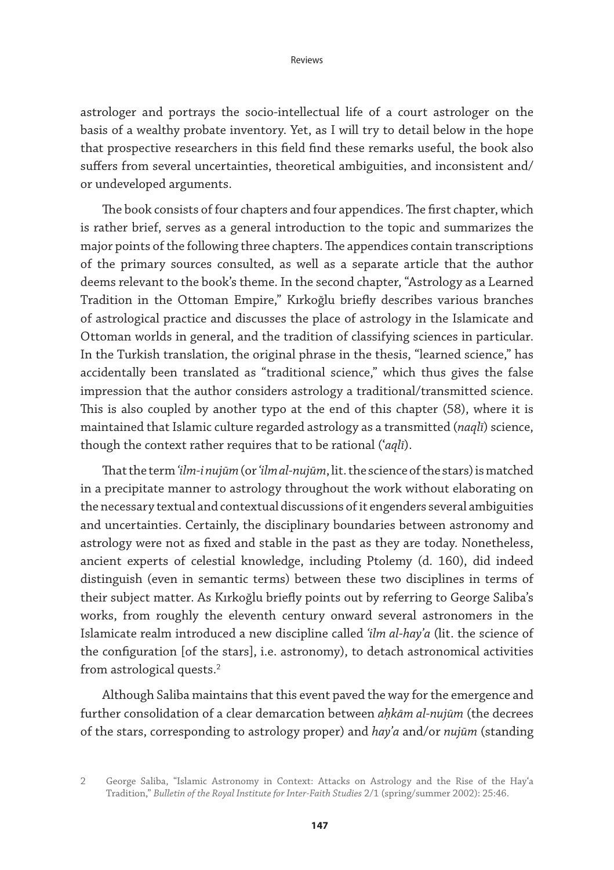astrologer and portrays the socio-intellectual life of a court astrologer on the basis of a wealthy probate inventory. Yet, as I will try to detail below in the hope that prospective researchers in this field find these remarks useful, the book also suffers from several uncertainties, theoretical ambiguities, and inconsistent and/ or undeveloped arguments.

The book consists of four chapters and four appendices. The first chapter, which is rather brief, serves as a general introduction to the topic and summarizes the major points of the following three chapters. The appendices contain transcriptions of the primary sources consulted, as well as a separate article that the author deems relevant to the book's theme. In the second chapter, "Astrology as a Learned Tradition in the Ottoman Empire," Kırkoğlu briefly describes various branches of astrological practice and discusses the place of astrology in the Islamicate and Ottoman worlds in general, and the tradition of classifying sciences in particular. In the Turkish translation, the original phrase in the thesis, "learned science," has accidentally been translated as "traditional science," which thus gives the false impression that the author considers astrology a traditional/transmitted science. This is also coupled by another typo at the end of this chapter (58), where it is maintained that Islamic culture regarded astrology as a transmitted (*naqlī*) science, though the context rather requires that to be rational (ʿ*aqlī*).

That the term *ʿilm-i nujūm* (or *ʿilm al-nujūm*, lit. the science of the stars) is matched in a precipitate manner to astrology throughout the work without elaborating on the necessary textual and contextual discussions of it engenders several ambiguities and uncertainties. Certainly, the disciplinary boundaries between astronomy and astrology were not as fixed and stable in the past as they are today. Nonetheless, ancient experts of celestial knowledge, including Ptolemy (d. 160), did indeed distinguish (even in semantic terms) between these two disciplines in terms of their subject matter. As Kırkoğlu briefly points out by referring to George Saliba's works, from roughly the eleventh century onward several astronomers in the Islamicate realm introduced a new discipline called *ʿilm al-hayʾa* (lit. the science of the configuration [of the stars], i.e. astronomy), to detach astronomical activities from astrological quests.2

Although Saliba maintains that this event paved the way for the emergence and further consolidation of a clear demarcation between *aḥkām al-nujūm* (the decrees of the stars, corresponding to astrology proper) and *hayʾa* and/or *nujūm* (standing

<sup>2</sup> George Saliba, "Islamic Astronomy in Context: Attacks on Astrology and the Rise of the Hayʿa Tradition," *Bulletin of the Royal Institute for Inter-Faith Studies* 2/1 (spring/summer 2002): 25:46.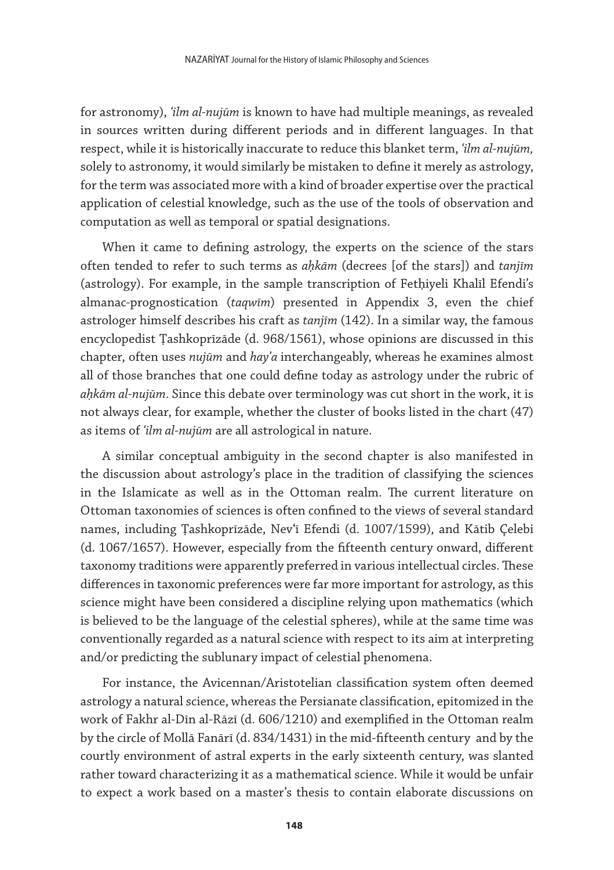for astronomy), *ʿilm al-nujūm* is known to have had multiple meanings, as revealed in sources written during different periods and in different languages. In that respect, while it is historically inaccurate to reduce this blanket term, *ʿilm al-nujūm,* solely to astronomy, it would similarly be mistaken to define it merely as astrology, for the term was associated more with a kind of broader expertise over the practical application of celestial knowledge, such as the use of the tools of observation and computation as well as temporal or spatial designations.

When it came to defining astrology, the experts on the science of the stars often tended to refer to such terms as *aḥkām* (decrees [of the stars]) and *tanjīm*  (astrology). For example, in the sample transcription of Fetḥiyeli Khalīl Efendi's almanac-prognostication (*taqwīm*) presented in Appendix 3, even the chief astrologer himself describes his craft as *tanjīm* (142). In a similar way, the famous encyclopedist Ṭashkoprīzāde (d. 968/1561), whose opinions are discussed in this chapter, often uses *nujūm* and *hayʾa* interchangeably, whereas he examines almost all of those branches that one could define today as astrology under the rubric of *aḥkām al-nujūm*. Since this debate over terminology was cut short in the work, it is not always clear, for example, whether the cluster of books listed in the chart (47) as items of *ʿilm al-nujūm* are all astrological in nature.

A similar conceptual ambiguity in the second chapter is also manifested in the discussion about astrology's place in the tradition of classifying the sciences in the Islamicate as well as in the Ottoman realm. The current literature on Ottoman taxonomies of sciences is often confined to the views of several standard names, including Ṭashkoprīzāde, Nevʿī Efendi (d. 1007/1599), and Kātib Çelebi (d. 1067/1657). However, especially from the fifteenth century onward, different taxonomy traditions were apparently preferred in various intellectual circles. These differences in taxonomic preferences were far more important for astrology, as this science might have been considered a discipline relying upon mathematics (which is believed to be the language of the celestial spheres), while at the same time was conventionally regarded as a natural science with respect to its aim at interpreting and/or predicting the sublunary impact of celestial phenomena.

For instance, the Avicennan/Aristotelian classification system often deemed astrology a natural science, whereas the Persianate classification, epitomized in the work of Fakhr al-Dīn al-Rāzī (d. 606/1210) and exemplified in the Ottoman realm by the circle of Mollā Fanārī (d. 834/1431) in the mid-fifteenth century and by the courtly environment of astral experts in the early sixteenth century, was slanted rather toward characterizing it as a mathematical science. While it would be unfair to expect a work based on a master's thesis to contain elaborate discussions on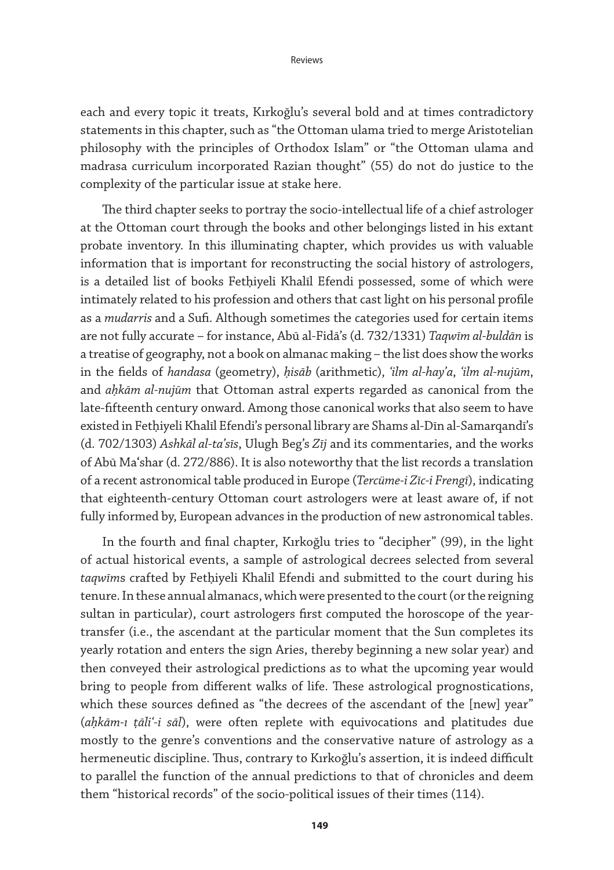each and every topic it treats, Kırkoğlu's several bold and at times contradictory statements in this chapter, such as "the Ottoman ulama tried to merge Aristotelian philosophy with the principles of Orthodox Islam" or "the Ottoman ulama and madrasa curriculum incorporated Razian thought" (55) do not do justice to the complexity of the particular issue at stake here.

The third chapter seeks to portray the socio-intellectual life of a chief astrologer at the Ottoman court through the books and other belongings listed in his extant probate inventory. In this illuminating chapter, which provides us with valuable information that is important for reconstructing the social history of astrologers, is a detailed list of books Fethiyeli Khalīl Efendi possessed, some of which were intimately related to his profession and others that cast light on his personal profile as a *mudarris* and a Sufi. Although sometimes the categories used for certain items are not fully accurate – for instance, Abū al-Fidā's (d. 732/1331) *Taqwīm al-buldān* is a treatise of geography, not a book on almanac making – the list does show the works in the fields of *handasa* (geometry), *ḥisāb* (arithmetic), *ʿilm al-hayʾa*, *ʿilm al-nujūm*, and *aḥkām al-nujūm* that Ottoman astral experts regarded as canonical from the late-fifteenth century onward. Among those canonical works that also seem to have existed in Fetḥiyeli Khalīl Efendi's personal library are Shams al-Dīn al-Samarqandī's (d. 702/1303) *Ashkāl al-taʾsīs*, Ulugh Beg's *Zīj* and its commentaries, and the works of Abū Maʿshar (d. 272/886). It is also noteworthy that the list records a translation of a recent astronomical table produced in Europe (*Tercüme-i Zīc-i Frengī*), indicating that eighteenth-century Ottoman court astrologers were at least aware of, if not fully informed by, European advances in the production of new astronomical tables.

In the fourth and final chapter, Kırkoğlu tries to "decipher" (99), in the light of actual historical events, a sample of astrological decrees selected from several *taqwīm*s crafted by Fetḥiyeli Khalīl Efendi and submitted to the court during his tenure. In these annual almanacs, which were presented to the court (or the reigning sultan in particular), court astrologers first computed the horoscope of the yeartransfer (i.e., the ascendant at the particular moment that the Sun completes its yearly rotation and enters the sign Aries, thereby beginning a new solar year) and then conveyed their astrological predictions as to what the upcoming year would bring to people from different walks of life. These astrological prognostications, which these sources defined as "the decrees of the ascendant of the [new] year" (*aḥkām-ı ṭāliʿ-i sāl*), were often replete with equivocations and platitudes due mostly to the genre's conventions and the conservative nature of astrology as a hermeneutic discipline. Thus, contrary to Kırkoğlu's assertion, it is indeed difficult to parallel the function of the annual predictions to that of chronicles and deem them "historical records" of the socio-political issues of their times (114).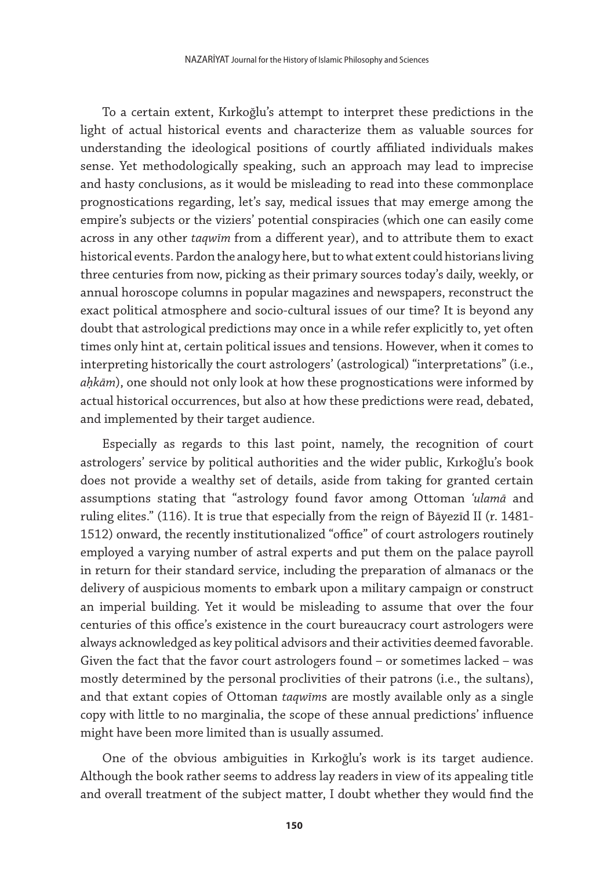To a certain extent, Kırkoğlu's attempt to interpret these predictions in the light of actual historical events and characterize them as valuable sources for understanding the ideological positions of courtly affiliated individuals makes sense. Yet methodologically speaking, such an approach may lead to imprecise and hasty conclusions, as it would be misleading to read into these commonplace prognostications regarding, let's say, medical issues that may emerge among the empire's subjects or the viziers' potential conspiracies (which one can easily come across in any other *taqwīm* from a different year), and to attribute them to exact historical events. Pardon the analogy here, but to what extent could historians living three centuries from now, picking as their primary sources today's daily, weekly, or annual horoscope columns in popular magazines and newspapers, reconstruct the exact political atmosphere and socio-cultural issues of our time? It is beyond any doubt that astrological predictions may once in a while refer explicitly to, yet often times only hint at, certain political issues and tensions. However, when it comes to interpreting historically the court astrologers' (astrological) "interpretations" (i.e., *aḥkām*), one should not only look at how these prognostications were informed by actual historical occurrences, but also at how these predictions were read, debated, and implemented by their target audience.

Especially as regards to this last point, namely, the recognition of court astrologers' service by political authorities and the wider public, Kırkoğlu's book does not provide a wealthy set of details, aside from taking for granted certain assumptions stating that "astrology found favor among Ottoman *ʿulamā* and ruling elites." (116). It is true that especially from the reign of Bāyezīd II (r. 1481- 1512) onward, the recently institutionalized "office" of court astrologers routinely employed a varying number of astral experts and put them on the palace payroll in return for their standard service, including the preparation of almanacs or the delivery of auspicious moments to embark upon a military campaign or construct an imperial building. Yet it would be misleading to assume that over the four centuries of this office's existence in the court bureaucracy court astrologers were always acknowledged as key political advisors and their activities deemed favorable. Given the fact that the favor court astrologers found – or sometimes lacked – was mostly determined by the personal proclivities of their patrons (i.e., the sultans), and that extant copies of Ottoman *taqwīm*s are mostly available only as a single copy with little to no marginalia, the scope of these annual predictions' influence might have been more limited than is usually assumed.

One of the obvious ambiguities in Kırkoğlu's work is its target audience. Although the book rather seems to address lay readers in view of its appealing title and overall treatment of the subject matter, I doubt whether they would find the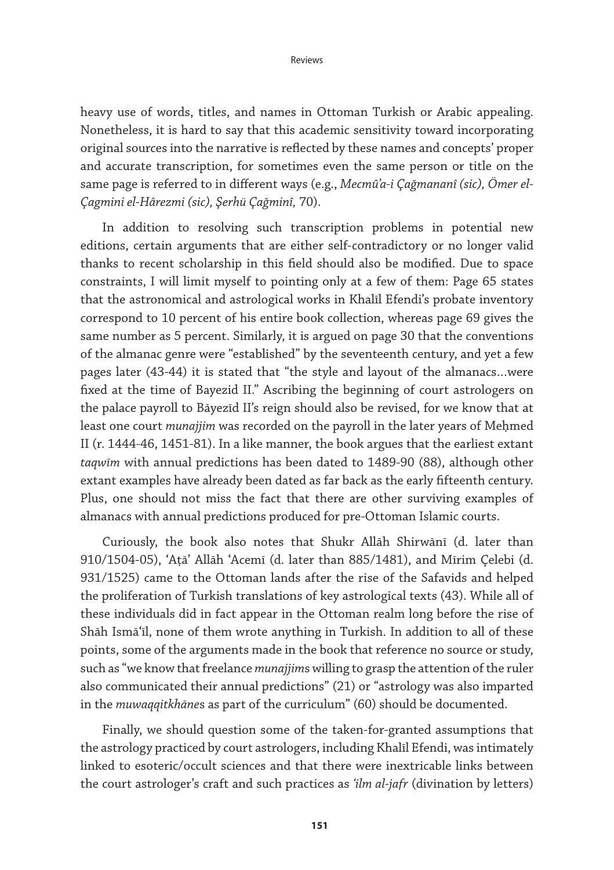heavy use of words, titles, and names in Ottoman Turkish or Arabic appealing. Nonetheless, it is hard to say that this academic sensitivity toward incorporating original sources into the narrative is reflected by these names and concepts' proper and accurate transcription, for sometimes even the same person or title on the same page is referred to in different ways (e.g., *Mecmû'a-i Çağmananî (sic), Ömer el-Çagmini el-Hârezmi (sic), Şerhü Çağminî,* 70).

In addition to resolving such transcription problems in potential new editions, certain arguments that are either self-contradictory or no longer valid thanks to recent scholarship in this field should also be modified. Due to space constraints, I will limit myself to pointing only at a few of them: Page 65 states that the astronomical and astrological works in Khalīl Efendi's probate inventory correspond to 10 percent of his entire book collection, whereas page 69 gives the same number as 5 percent. Similarly, it is argued on page 30 that the conventions of the almanac genre were "established" by the seventeenth century, and yet a few pages later (43-44) it is stated that "the style and layout of the almanacs…were fixed at the time of Bayezid II." Ascribing the beginning of court astrologers on the palace payroll to Bāyezīd II's reign should also be revised, for we know that at least one court *munajjim* was recorded on the payroll in the later years of Meḥmed II (r. 1444-46, 1451-81). In a like manner, the book argues that the earliest extant *taqwīm* with annual predictions has been dated to 1489-90 (88), although other extant examples have already been dated as far back as the early fifteenth century. Plus, one should not miss the fact that there are other surviving examples of almanacs with annual predictions produced for pre-Ottoman Islamic courts.

Curiously, the book also notes that Shukr Allāh Shirwānī (d. later than 910/1504-05), ʿAṭāʾ Allāh ʿAcemī (d. later than 885/1481), and Mīrim Çelebi (d. 931/1525) came to the Ottoman lands after the rise of the Safavids and helped the proliferation of Turkish translations of key astrological texts (43). While all of these individuals did in fact appear in the Ottoman realm long before the rise of Shāh Ismāʿīl, none of them wrote anything in Turkish. In addition to all of these points, some of the arguments made in the book that reference no source or study, such as "we know that freelance *munajjim*s willing to grasp the attention of the ruler also communicated their annual predictions" (21) or "astrology was also imparted in the *muwaqqitkhāne*s as part of the curriculum" (60) should be documented.

Finally, we should question some of the taken-for-granted assumptions that the astrology practiced by court astrologers, including Khalīl Efendi, was intimately linked to esoteric/occult sciences and that there were inextricable links between the court astrologer's craft and such practices as *ʿilm al-jafr* (divination by letters)